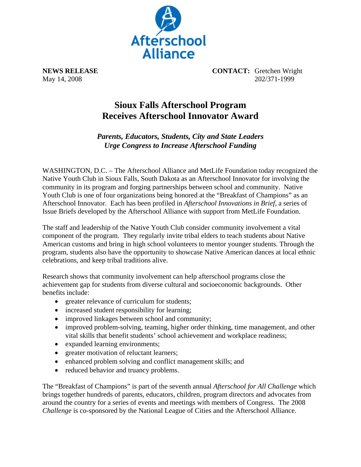

**NEWS RELEASE CONTACT:** Gretchen Wright May 14, 2008 202/371-1999

## **Sioux Falls Afterschool Program Receives Afterschool Innovator Award**

*Parents, Educators, Students, City and State Leaders Urge Congress to Increase Afterschool Funding* 

WASHINGTON, D.C. – The Afterschool Alliance and MetLife Foundation today recognized the Native Youth Club in Sioux Falls, South Dakota as an Afterschool Innovator for involving the community in its program and forging partnerships between school and community. Native Youth Club is one of four organizations being honored at the "Breakfast of Champions" as an Afterschool Innovator. Each has been profiled in *Afterschool Innovations in Brief*, a series of Issue Briefs developed by the Afterschool Alliance with support from MetLife Foundation.

The staff and leadership of the Native Youth Club consider community involvement a vital component of the program. They regularly invite tribal elders to teach students about Native American customs and bring in high school volunteers to mentor younger students. Through the program, students also have the opportunity to showcase Native American dances at local ethnic celebrations, and keep tribal traditions alive.

Research shows that community involvement can help afterschool programs close the achievement gap for students from diverse cultural and socioeconomic backgrounds. Other benefits include:

- greater relevance of curriculum for students;
- increased student responsibility for learning;
- improved linkages between school and community;
- improved problem-solving, teaming, higher order thinking, time management, and other vital skills that benefit students' school achievement and workplace readiness;
- expanded learning environments;
- greater motivation of reluctant learners;
- enhanced problem solving and conflict management skills; and
- reduced behavior and truancy problems.

The "Breakfast of Champions" is part of the seventh annual *Afterschool for All Challenge* which brings together hundreds of parents, educators, children, program directors and advocates from around the country for a series of events and meetings with members of Congress. The 2008 *Challenge* is co-sponsored by the National League of Cities and the Afterschool Alliance.